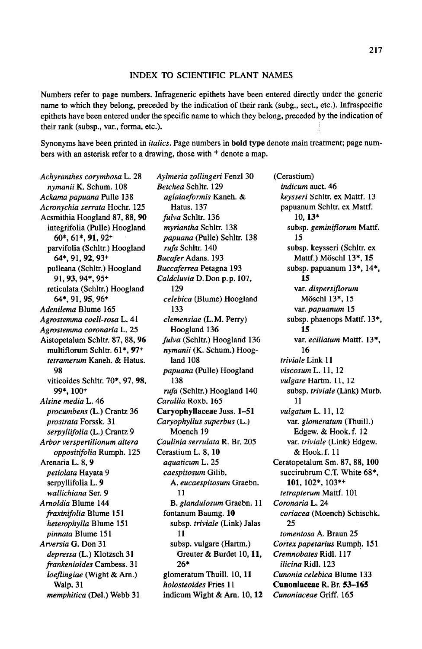## INDEX TO SCIENTIFIC PLANT NAMES

Numbers refer to page numbers. Infrageneric epithets have been entered directly under the generic name to which they belong, preceded by the indication of their rank (subg., sect., etc.). Infraspecific epithets have been entered under the specific name to which they belong, preceded by the indication of their rank (subsp., var., forma, etc.).

Synonyms have been printed in italics. Page numbers in bold type denote main treatment; page numbers with an asterisk refer to a drawing, those with  $+$  denote a map.

Achyranthes corymbosa L. <sup>28</sup> nymanii K. Schum. 108 Ackama papuana Pulle <sup>138</sup> Acronychia serrata Hochr. 125 Acsmithia Hoogland 87, 88, 90 integrifolia (Pulle) Hoogland 60\*, 61\*. 91,92+ parvifolia (Schltr.) Hoogland 64\*, 91,92, 93+ pulleana (Schltr.) Hoogland 91,93, 94\*, 95+ reticulata (Schltr.) Hoogland 64\*, 91,95, 96+ Adenilema Blume 165 Agrostemma coeli-rosa L. <sup>41</sup> Agrostemma coronaria L. <sup>25</sup> Aistopetalum Schltr. 87, 88, 96 multiflorum Schltr. 61\*, 97+ tetramerum Kaneh. & Hatus. 98 viticoides Schltr. 70\*, 97, 98, 99\*, 100+ Alsine media L. 46 procumbens (L.) Crantz 36 prostrata Forssk. <sup>31</sup> serpyllifolia (L.) Crantz 9 Arbor verspertilionum altera oppositifolia Rumph. <sup>125</sup> Arenaria L. 8, 9 petiolata Hayata 9 serpyllifolia L. <sup>9</sup> wallichiana Ser. 9 Arnoldia Blume 144 fraxinifolia Blume <sup>151</sup> heterophylla Blume 151 pinnata Blume <sup>151</sup> Arversia G. Don 31 depressa (L.) Klotzsch 31 frankenioides Cambess. 31 loeflingiae (Wight & Am.) Walp. 31 memphitica (Del.) Webb <sup>31</sup>

Aylmeria zollingeri Fenzl 30 Betchea Schltr. 129 aglaiaeformis Kaneh. & Hatus. 137 fulva Schltr. 136 myriantha Schltr. <sup>138</sup> papuana (Pulle) Schltr. 138 rufa Schltr. 140 Bucafer Adans. <sup>193</sup> Buccaferrea Petagna 193 Caldcluvia D.Don p.p. 107, 129 celebica (Blume) Hoogland 133 clemensiae (L.M. Perry) Hoogland 136 fulva (Schltr.) Hoogland 136 nymanii (K. Schum.) Hoogland 108 papuana (Pulle) Hoogland 138 rufa (Schltr.) Hoogland 140 Carallia Roxb. 165 Caryophyllaceae Juss. 1-51 Caryophyllus superbus (L.) Moench 19 Caulinia serrulata R. Br. 205 Cerastium L. 8. 10 aquaticum L. 25 caespitosum Gilib. A. eucaespitosum Graebn. 11 B. glandulosum Graebn. <sup>11</sup> fontanum Baumg. 10 subsp. triviale (Link) Jalas 11 subsp. vulgare (Hartm.) Greuter & Burdet 10,11, 26\* glomeratum Thuill. 10, 11 holosteoides Fries <sup>11</sup> indicum Wight  $&Am. 10, 12$  (Cerastium) indicum auct. 46 keysseri Schltr. ex Mattf. <sup>13</sup> papuanum Schltr. ex Mattf. 10, 13\* subsp. geminiflorum Mattf. 15 subsp. keysseri (Schltr. ex Mattf.) Möschl 13\*, 15 subsp. papuanum 13\*, 14\*, 15 var. dispersiflorum Moschl 13\*, 15 var. papuanum <sup>15</sup> subsp. phaenops Mattf. 13\*, 15 var. eciliatum Mattf. 13\*, 16 triviale Link 11 viscosum L. 11, <sup>12</sup> vulgare Hartm. 11, 12 subsp. triviale (Link) Murb. 11 vulgatum L. 11, <sup>12</sup> var. glomeratum (Thuill.) Edgew. & Hook.f. <sup>12</sup> var. triviale (Link) Edgew. & Hook. f. <sup>11</sup> Ceratopetalum Sm. 87, 88, 100 succirubrum C.T. White 68\*, 101, 102\*, 103\*+ tetrapterum Mattf. <sup>101</sup> Coronaria L. 24 coriacea (Moench) Schischk. 25 tomentosa A. Braun 25 Cortex papetarius Rumph. 151 Cremnobates Ridl. 117 ilicina Ridl. 123 Cunonia celebica Blume 133 Cunoniaceae R. Br. 53-165 Cunoniaceae Griff. 165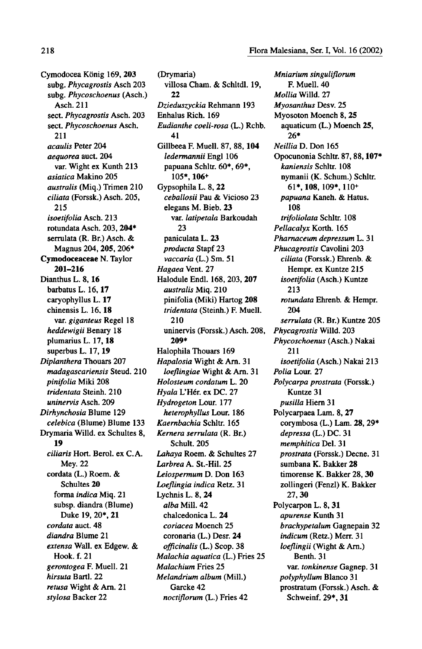Cymodocea König 169, 203 subg.Phycagrostis Asch 203 subg. Phycoschoenus (Asch.) Asch. 211 sect. Phycagrostis Asch. 203 sect. Phycoschoenus Asch. 211 acaulis Peter 204 aequorea auct. 204 var. Wight ex Kunth 213 asiatica Makino 205 australis (Miq.) Trimen 210 ciliata (Forssk.) Asch. 205, 215 isoetifolia Asch. 213 rotundata Asch. 203, 204\* serrulata (R. Br.) Asch. & Magnus 204, 205, 206\* Cymodoceaceae N. Taylor 201-216 Dianthus L. 8, <sup>16</sup> barbatus L. 16, 17 caryophyllus L. <sup>17</sup> chinensis L. 16, 18 var. giganteus Regel 18 heddewigii Benary 18 plumarius L. 17, <sup>18</sup> superbus L. 17, <sup>19</sup> Diplanthera Thouars 207 madagascariensis Steud. 210 pinifolia Miki <sup>208</sup> tridentata Steinh. 210 uninervis Asch. 209 Dirhynchosia Blume 129 celebica (Blume) Blume <sup>133</sup> Drymaria Willd. ex Schultes 8, 19 ciliaris Hort. Berol. ex C.A. Mey. 22 cordata (L.) Roem. & Schultes 20 forma indica Miq. <sup>21</sup> subsp. diandra (Blume) Duke 19, 20\*, 21 cordata auct. 48 diandra Blume 21 extensa Wall, ex Edgew. & Hook. f. 21 gerontogea F. Muell. <sup>21</sup> hirsuta Bartl. 22 retusa Wight & Arn. <sup>21</sup> stylosa Backer 22

(Drymaria) villosa Cham. & Schltdl. 19, 22 Dzieduszyckia Rehmann 193 Enhalus Rich. 169 Eudianthe coeli-rosa (L.) Rchb. 41 Gillbeea F. Muell. 87, 88, 104 ledermannii Engl 106 papuana Schltr. 60\*, 69\*, 105\*, 106+ Gypsophila L. 8, <sup>22</sup> ceballosii Pau & Vicioso 23 elegans M. Bieb. 23 var. latipetala Barkoudah 23 paniculata L. <sup>23</sup> producta Stapf 23 vaccaria (L.) Sm. 51 Hagaea Vent. 27 Halodule Endl. 168, 203, 207 australis Miq. <sup>210</sup> pinifolia (Miki) Hartog <sup>208</sup> tridentata (Steinh.) F. Muell. 210 uninervis (Forssk.) Asch. 208, 209\* Halophila Thouars 169 Hapalosia Wight & Arn. <sup>31</sup> loeflingiae Wight & Arn. 31 Holosteum cordatum L. 20 Hyala L'Her. ex DC. 27 Hydrogeton Lour. <sup>177</sup> heterophyllus Lour. 186 Kaernbachia Schltr. 165 Kernera serrulata (R. Br.) Schult. 205 Lahaya Roem. & Schultes <sup>27</sup> Larbrea A. St.-Hil. 25 Leiospermum D. Don <sup>163</sup> Loeflingia indica Retz. <sup>31</sup> Lychnis L. 8, <sup>24</sup> alba Mill. 42 chalcedonica L. 24 coriacea Moench 25 coronaria (L.) Desr. 24 officinalis (L.) Scop. 38 Malachia aquatica (L.) Fries 25 Malachium Fries 25 Melandrium album (Mill.) Garcke 42 noctiflorum (L.) Fries 42

Mniarium singuliflorum F. Muell. 40 Mollia Willd. 27 Myosanthus Desv. 25 Myosoton Moench 8, <sup>25</sup> aquaticum (L.) Moench 25, 26\* Neillia D. Don 165 Opocunonia Schltr. 87, 88, 107\* kaniensis Schltr. 108 nymanii (K. Schum.) Schltr. 61\*, 108, 109\*, 110\* papuana Kaneh. & Hatus. 108 trifoliolata Schltr. 108 Pellacalyx Korth. 165 Pharnaceum depressum L. <sup>31</sup> Phucagrostis Cavolini 203 ciliata (Forssk.) Ehrenb. & Hempr. ex Kuntze <sup>215</sup> isoetifolia (Asch.) Kuntze 213 rotundata Ehrenb. & Hempr. 204 serrulata (R. Br.) Kuntze 205 Phycagrostis Willd. 203 Phycoschoenus (Asch.) Nakai 211 isoetifolia (Asch.) Nakai 213 Polia Lour. 27 Polycarpa prostrata (Forssk.) Kuntze 31 pusilla Hiern <sup>31</sup> Polycarpaea Lam. 8, 27 corymbosa (L.) Lam. 28, 29\* depressa (L.) DC. <sup>31</sup> memphitica Del. <sup>31</sup> prostrata (Forssk.) Decne. <sup>31</sup> sumbana K. Bakker 28 timorense K. Bakker 28, 30 zollingeri (Fenzl) K. Bakker 27, 30 Polycarpon L. 8, <sup>31</sup> apurense Kunth <sup>31</sup> brachypetalum Gagnepain32 indicum (Retz.) Merr. 31 loeflingii(Wight & Arn.) Benth. 31 var. tonkinense Gagnep. <sup>31</sup> polyphyllum Blanco <sup>31</sup> prostratum (Forssk.) Asch. & Schweinf. 29\*, 31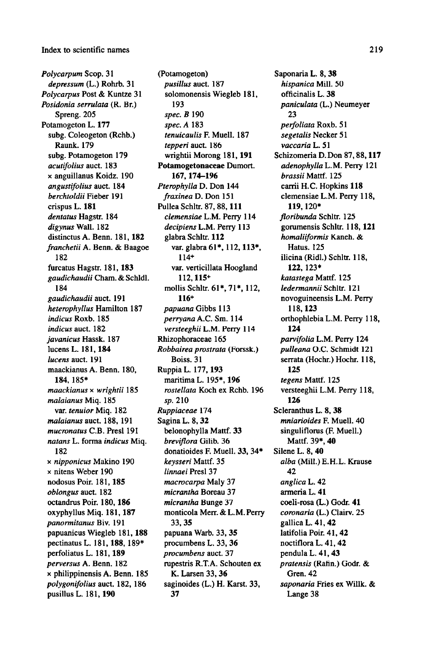Polycarpum Scop. 31 depressum (L.) Rohrb. <sup>31</sup> Polycarpus Post & Kuntze <sup>31</sup> Posidonia serrulata (R. Br.) Spreng. 205 Potamogeton L. 177 subg. Coleogeton (Rchb.) Raunk. 179 subg. Potamogeton 179 acutifolius auct. 183 <sup>x</sup> anguillanus Koidz. <sup>190</sup> angustifolius auct. 184 berchtoldii Fieber 191 crispus L. <sup>181</sup> dentatus Hagstr. 184 digynus Wall. <sup>182</sup> distinctusA. Benn. 181, 182 franchetii A. Benn. & Baagoe 182 furcatus Hagstr. 181, 183 gaudichaudii Cham. & Schldl. 184 gaudichaudii auct. 191 heterophyllus Hamilton <sup>187</sup> indicus Roxb. 185 indicus auct. 182 javanicus Hassk. 187 lucens L. 181, 184 lucens auct. 191 maackianus A. Benn. 180, 184, 185\* maackianus <sup>x</sup> wrightii <sup>185</sup> malaianus Miq. 185 var. tenuior Miq. <sup>182</sup> malaianus auct. 188, 191 mucronatus C.B. Presl 191 natans L. forma indicus Miq. 182 x nipponicus Makino 190 x nitens Weber 190 nodosus Poir. 181, 185 oblongus auct. 182 octandrus Poir. 180, 186 oxyphyllus Miq. 181, 187 panormitanus Biv. <sup>191</sup> papuanicus Wiegleb 181, 188 pectinatus L. 181, 188, 189\* perfoliatus L. 181, 189 perversus A. Benn. <sup>182</sup> <sup>x</sup> philippinensis A. Benn. <sup>185</sup> polygonifolius auct. 182, 186 pusillus L. 181, <sup>190</sup>

(Potamogeton) pusillus auct. 187 solomonensis Wiegleb 181, 193 spec. B <sup>190</sup> spec. A <sup>183</sup> tenuicaulis F. Muell. 187 tepperi auct. 186 wrightii Morong 181, 191 Potamogetonaceae Dumort. 167, 174-196 Pterophylla D. Don 144 fraxinea D. Don <sup>151</sup> Pullea Schltr. 87,88, 111 clemensiae L.M. Perry 114 decipiens L.M. Perry <sup>113</sup> glabra Schltr. 112 var. glabra 61\*, 112, 113\*, 114+ var. verticillata Hoogland 112,115+ mollis Schltr. 61\*, 71\*, 112, 116+ papuana Gibbs 113 perryana A.C. Sm. <sup>114</sup> versteeghii L.M. Perry 114 Rhizophoraceae 165 Robbairea prostrata (Forssk.) Boiss. 31 Ruppia L. 177, 193 maritima L. 195\*, 196 rostellata Koch ex Rchb. 196 sp. 210 Ruppiaceae 174 Sagina L. 8, 32 belonophylla Mattf. 33 breviflora Gilib. 36 donatioides F. Muell. 33, 34\* keysseri Mattf. 35 linnaei Presl 37 macrocarpa Maly 37 micrantha Boreau 37 micrantha Bunge 37 monticola Merr. & L.M.Perry 33, 35 papuana Warb. 33, 35 procumbens L. 33, <sup>36</sup> procumbens auct. 37 rupestris R.T.A. Schouten ex K. Larsen 33, 36 saginoides (L.) H. Karst. 33, 37

Saponaria L. 8, <sup>38</sup> hispanica Mill. <sup>50</sup> officinalis L. 38 paniculata (L.) Neumeyer 23 perfoliata Roxb. 51 segetalis Necker <sup>51</sup> vaccaria L. 51 Schizomeria D. Don 87,88,117 adenophylla L.M. Perry <sup>121</sup> brassii Mattf. 125 carrii H.C. Hopkins 118 clemensiae L.M. Perry 118, 119,120\* floribunda Schltr. 125 gorumensis Schltr. 118, 121 homaliiformis Kaneh. & Hatus. 125 ilicina (Ridl.) Schltr. 118, 122.123\* katastega Mattf. <sup>125</sup> ledermannii Schltr. 121 novoguineensisL.M. Perry 118, 123 orthophlebiaL.M. Perry 118, 124 parvifolia L.M. Perry <sup>124</sup> pulleana O.C. Schmidt <sup>121</sup> serrata (Hochr.) Hochr. 118, 125 tegens Mattf. <sup>125</sup> versteeghii L.M. Perry 118, 126 Scleranthus L. 8, 38 mniarioides F. Muell. 40 singuliflorus (F. Muell.) Mattf. 39\*, 40 Silene L. 8, 40 alba (Mill.) E.H.L. Krause 42 anglica L. 42 armeria L. 41 coeli-rosa (L.) Godr. 41 coronaria (L.) Clairv. 25 gallica L. 41, <sup>42</sup> latifolia Poir. 41, 42 noctiflora L. 41, 42 pendula L. 41, <sup>43</sup> pratensis (Rafin.) Godr. & Gren. 42 saponaria Fries ex Willk. & Lange 38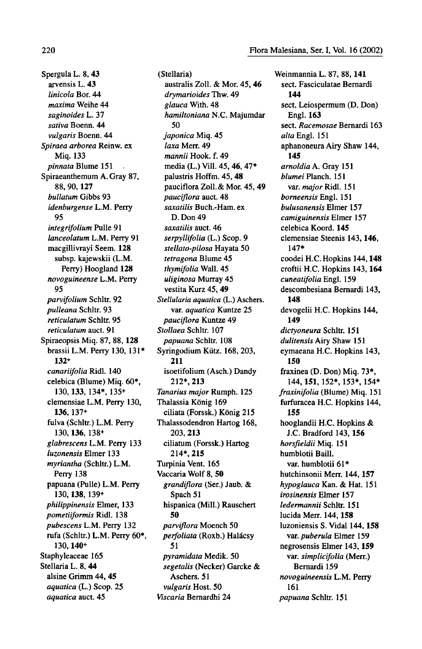Spergula L. 8, <sup>43</sup> arvensis L. 43 linicola Bor. 44 maxima Weihe 44 saginoides L. <sup>37</sup> sativa Boenn. 44 vulgaris Boenn. 44 Spiraea arborea Reinw. ex Miq. 133 pinnata Blume 151 Spiraeanthemum A. Gray 87, 88, 90, 127 bullatum Gibbs 93 idenburgense L.M. Perry 95 integrifolium Pulle <sup>91</sup> lanceolatum L.M. Perry <sup>91</sup> macgillivrayi Seem. 128 subsp. kajewskii (L.M. Perry) Hoogland 128 novoguineense L.M. Perry 95 parvifolium Schltr. 92 pulleana Schltr. 93 reticulatum Schltr. 95 reticulatum auct. 91 Spiraeopsis Miq. 87, 88, 128 brassii L.M. Perry 130, 131\* 132+ canariifolia Ridl. 140 celebica (Blume) Miq. 60\*, 130, 133, 134\*, 135+ clemensiae L.M. Perry 130, 136, 137+ fulva (Schltr.) L.M. Perry 130,136. 138+ glabrescens L.M. Perry <sup>133</sup> luzonensis Elmer 133 myriantha (Schltr.) L.M. Perry 138 papuana (Pulle) L.M. Perry 130, 138, 139+ philippinensis Elmer, 133 pometiiformis Ridl. 138 pubescens L.M. Perry <sup>132</sup> rufa (Schltr.) L.M. Perry 60\*. 130, 140+ Staphyleaceae 165 Stellaria L. 8, 44 alsine Grimm 44, 45 aquatica (L.) Scop. 25 aquatica auct. 45

(Stellaria) australis Zoll. & Mor. 45, 46 drymarioides Thw. 49 glauca With. 48 hamiltoniana N.C. Majumdar 50 japonica Miq. 45 laxa Merr. 49 mannii Hook. f. 49 media (L.) Vill. 45, 46, 47\* palustris Hoffm. 45, 48 pauciflora Zoll.& Mor. 45, <sup>49</sup> pauciflora auct. 48 saxatilis Buch.-Ham. ex D. Don 49 saxatilis auct. 46 serpyllifolia (L.) Scop. 9 stellato-pilosa Hayata 50 tetragona Blume 45 thymifolia Wall. 45 uliginosa Murray 45 vestita Kurz 45, 49 Stellularia aquatica (L.) Aschers. var. aquatica Kuntze 25 pauciflora Kuntze 49 Stollaea Schltr. 107 papuana Schltr. 108 Syringodium Kiitz. 168, 203, 211 isoetifolium (Asch.) Dandy 212\*, 213 Tanarius major Rumph. 125 Thalassia König 169 ciliata (Forssk.) Konig 215 Thalassodendron Hartog 168, 203, 213 ciliatum (Forssk.) Hartog 214\*, 215 Turpinia Vent. 165 Vaccaria Wolf 8, 50 grandiflora (Ser.) Jaub. & Spach 51 hispanica (Mill.) Rauschert 50 parviflora Moench 50 perfoliata (Roxb.) Halácsy 51 pyramidata Medik. 50 segetalis (Necker) Garcke & Aschers. 51 vulgaris Host. 50 Viscaria Bernardhi 24

Weinmannia L. 87, 88, 141 sect. Fasciculatae Bernardi 144 sect. Leiospermum (D. Don) Engl. 163 sect. Racemosae Bernardi 163 alta Engl. <sup>151</sup> aphanoneura Airy Shaw 144, 145 arnoldia A. Gray <sup>151</sup> blumei Planch. 151 var. major Ridl. 151 borneensis Engl. <sup>151</sup> bulusanensis Elmer 157 camiguinensis Elmer 157 celebica Koord. 145 clemensiae Steenis 143, 146, 147\* coodei H.C.Hopkins 144, 148 croftii H.C. Hopkins 143, 164 cuneatifoliaEngl. 159 descombesiana Bernardi 143, 148 devogelii H.C. Hopkins 144, 149 dictyoneura Schltr. 151 dulitensis Airy Shaw <sup>151</sup> eymaeana H.C. Hopkins 143, 150 fraxinea (D. Don) Miq. 73\*, 144, 151, 152\*, 153\*, 154\* fraxinifolia (Blume) Miq. 151 furfuracea H.C. Hopkins 144, 155 hooglandii H.C. Hopkins & J.C. Bradford 143, 156 horsfieldii Miq. <sup>151</sup> humblotii Baill. var. humblotii 61\* hutchinsonii Merr. 144, 157 hypoglauca Kan. & Hat. <sup>151</sup> irosinensis Elmer 157 ledermannii Schltr. 151 lucida Merr. 144, 158 luzoniensis S. Vidal 144, 158 var. puberula Elmer 159 negrosensis Elmer 143, 159 var. simplicifolia (Merr.) Bernardi 159 novoguineensisL.M. Perry 161 papuana Schltr. <sup>151</sup>